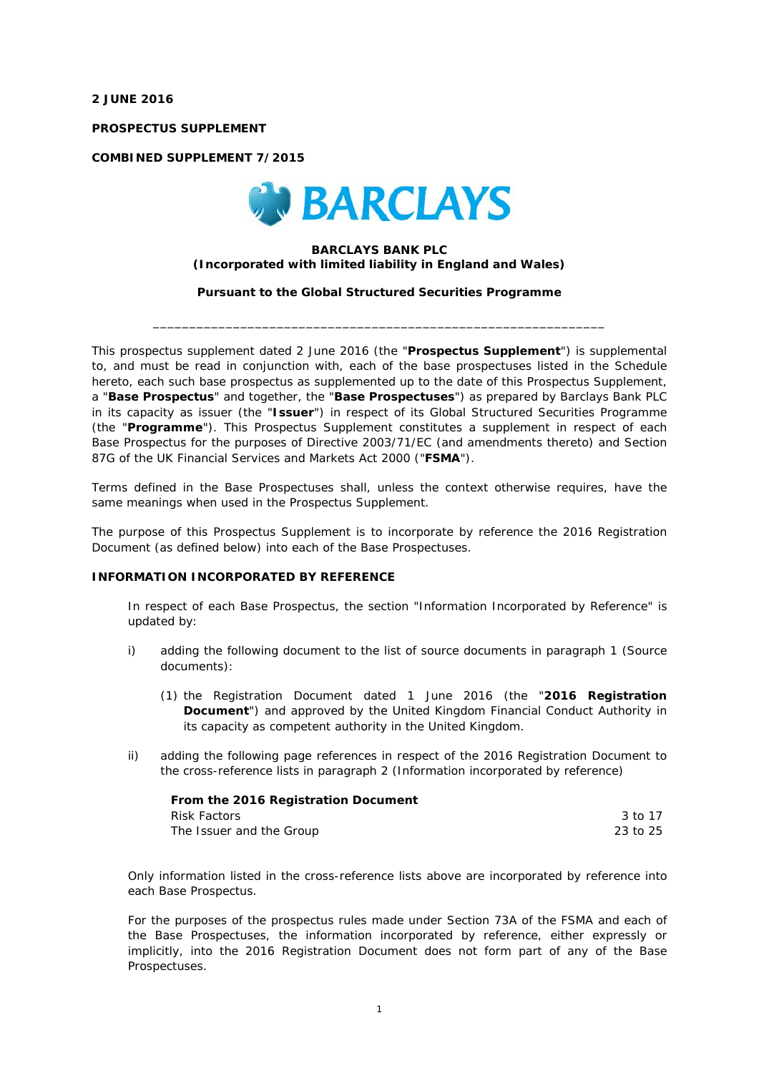**2 JUNE 2016** 

**PROSPECTUS SUPPLEMENT** 

**COMBINED SUPPLEMENT 7/2015** 



## **BARCLAYS BANK PLC**  *(Incorporated with limited liability in England and Wales)*

**Pursuant to the Global Structured Securities Programme** 

\_\_\_\_\_\_\_\_\_\_\_\_\_\_\_\_\_\_\_\_\_\_\_\_\_\_\_\_\_\_\_\_\_\_\_\_\_\_\_\_\_\_\_\_\_\_\_\_\_\_\_\_\_\_\_\_\_\_\_\_\_\_

This prospectus supplement dated 2 June 2016 (the "**Prospectus Supplement**") is supplemental to, and must be read in conjunction with, each of the base prospectuses listed in the Schedule hereto, each such base prospectus as supplemented up to the date of this Prospectus Supplement, a "**Base Prospectus**" and together, the "**Base Prospectuses**") as prepared by Barclays Bank PLC in its capacity as issuer (the "**Issuer**") in respect of its Global Structured Securities Programme (the "**Programme**"). This Prospectus Supplement constitutes a supplement in respect of each Base Prospectus for the purposes of Directive 2003/71/EC (and amendments thereto) and Section 87G of the UK Financial Services and Markets Act 2000 ("**FSMA**").

Terms defined in the Base Prospectuses shall, unless the context otherwise requires, have the same meanings when used in the Prospectus Supplement.

The purpose of this Prospectus Supplement is to incorporate by reference the 2016 Registration Document (as defined below) into each of the Base Prospectuses.

## **INFORMATION INCORPORATED BY REFERENCE**

In respect of each Base Prospectus, the section "Information Incorporated by Reference" is updated by:

- i) adding the following document to the list of source documents in paragraph 1 (*Source documents*):
	- (1) the Registration Document dated 1 June 2016 (the "**2016 Registration Document**") and approved by the United Kingdom Financial Conduct Authority in its capacity as competent authority in the United Kingdom.
- ii) adding the following page references in respect of the 2016 Registration Document to the cross-reference lists in paragraph 2 (*Information incorporated by reference*)

| <b>From the 2016 Registration Document</b> |          |
|--------------------------------------------|----------|
| Risk Factors                               | 3 to 17  |
| The Issuer and the Group                   | 23 to 25 |

Only information listed in the cross-reference lists above are incorporated by reference into each Base Prospectus.

For the purposes of the prospectus rules made under Section 73A of the FSMA and each of the Base Prospectuses, the information incorporated by reference, either expressly or implicitly, into the 2016 Registration Document does not form part of any of the Base Prospectuses.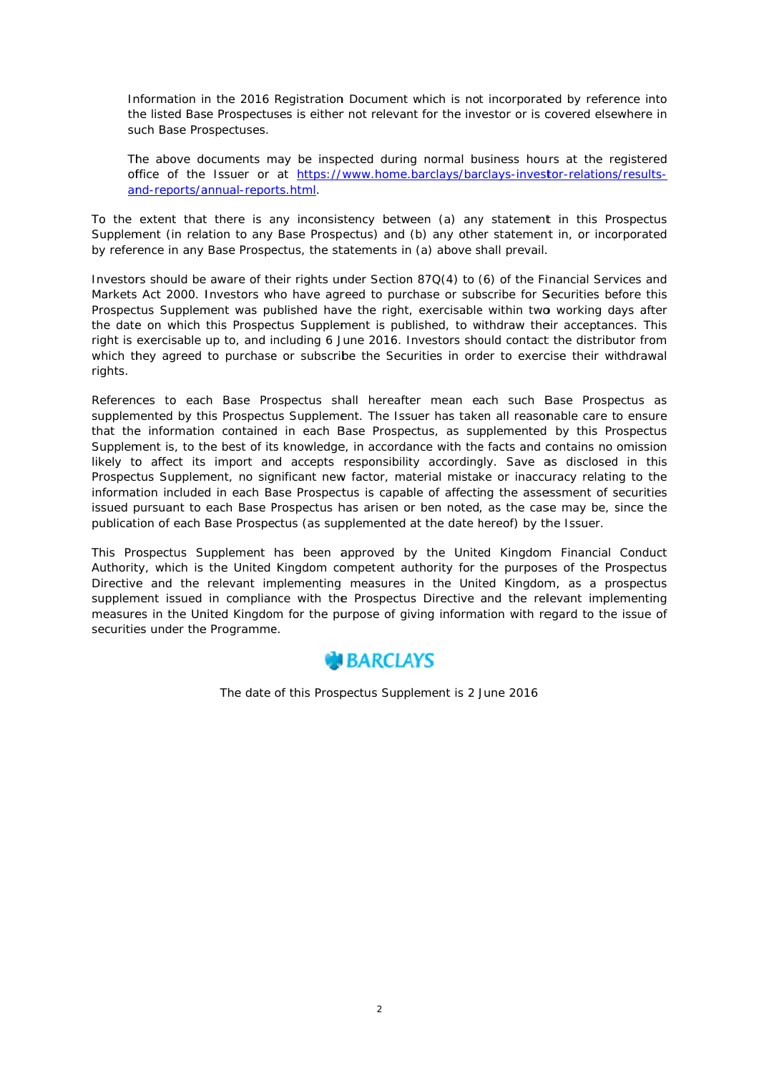Information in the 2016 Registration Document which is not incorporated by reference into the listed Base Prospectuses is either not relevant for the investor or is covered elsewhere in such Base Prospectuses.

The above documents may be inspected during normal business hours at the registered office of the Issuer or at https://www.home.barclays/barclays-investor-relations/resultsand-reports/annual-reports.html.

To the extent that there is any inconsistency between (a) any statement in this Prospectus Supplement (in relation to any Base Prospectus) and (b) any other statement in, or incorporated by reference in any Base Prospectus, the statements in (a) above shall prevail.

Investors should be aware of their rights under Section 87Q(4) to (6) of the Financial Services and Markets Act 2000. Investors who have agreed to purchase or subscribe for Securities before this Prospectus Supplement was published have the right, exercisable within two working days after the date on which this Prospectus Supplement is published, to withdraw their acceptances. This right is exercisable up to, and including 6 June 2016. Investors should contact the distributor from which they agreed to purchase or subscribe the Securities in order to exercise their withdrawal rights.

References to each Base Prospectus shall hereafter mean each such Base Prospectus as supplemented by this Prospectus Supplement. The Issuer has taken all reasonable care to ensure that the information contained in each Base Prospectus, as supplemented by this Prospectus Supplement is, to the best of its knowledge, in accordance with the facts and contains no omission likely to affect its import and accepts responsibility accordingly. Save as disclosed in this Prospectus Supplement, no significant new factor, material mistake or inaccuracy relating to the information included in each Base Prospectus is capable of affecting the assessment of securities issued pursuant to each Base Prospectus has arisen or ben noted, as the case may be, since the publication of each Base Prospectus (as supplemented at the date hereof) by the Issuer.

This Prospectus Supplement has been approved by the United Kingdom Financial Conduct Authority, which is the United Kingdom competent authority for the purposes of the Prospectus Directive and the relevant implementing measures in the United Kingdom, as a prospectus supplement issued in compliance with the Prospectus Directive and the relevant implementing measures in the United Kingdom for the purpose of giving information with regard to the issue of securities under the Programme.



The date of this Prospectus Supplement is 2 June 2016